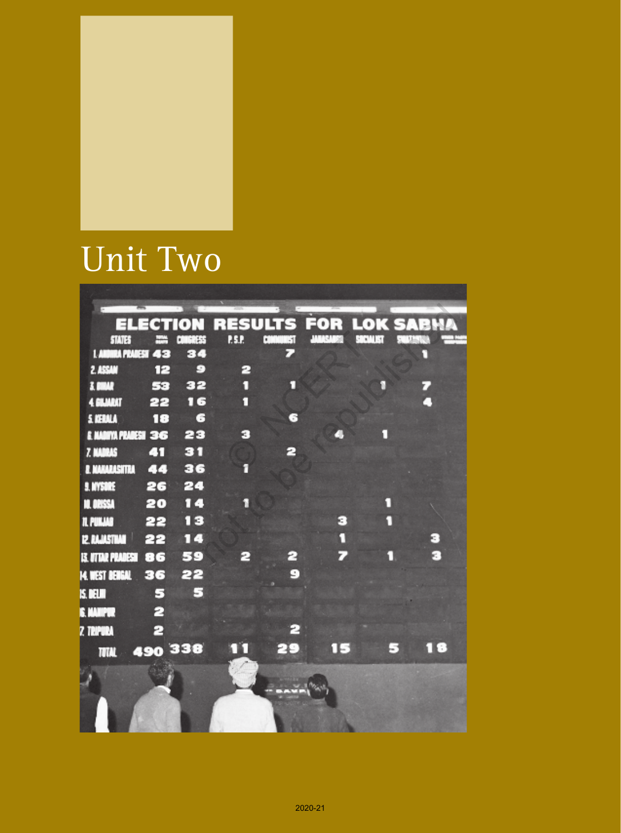

# Unit Two

|                             |    |                |            |          |    | <b>ELECTION RESULTS FOR LOK SABNA</b> |
|-----------------------------|----|----------------|------------|----------|----|---------------------------------------|
| <b>STATES</b>               |    | <b>AMBRESS</b> | <b>PSP</b> | $1 - 31$ |    |                                       |
| <b>I. ANDIRA PRADESH 43</b> |    | 34             |            |          |    | n                                     |
| 2. ASSAM                    | 12 | Э              | 2          |          |    |                                       |
| 3. BINAR                    | 53 | 32             | п          |          |    |                                       |
| 4 GILMRIT                   | 22 | 16             | п          |          |    |                                       |
| <b>S. KERALA</b>            | 18 | 6              |            | G        |    |                                       |
| <b>E NADIYA PRADESH 36</b>  |    | 23             | з          |          |    |                                       |
| <b>7. KADRAS</b>            | cт | 31             |            | 2        |    |                                       |
| <b>E. NAHARASHTRA</b>       | 44 | 36             | f          |          |    |                                       |
| <b>S. NYSORE</b>            | 26 | 24             |            |          |    |                                       |
| <b>NL DRISSA</b>            | 20 | 14             | 'n         |          |    |                                       |
| <b>IL PUILLAB</b>           | 22 | 13             |            |          | з  |                                       |
| <b>IZ. RAJASTAMI</b>        | 22 | 14             |            |          | Ω  | э                                     |
| <b>IS. UTTAR PRADESH</b>    | 86 | 59             | Р          | 2        |    | F.                                    |
|                             |    |                |            | Θ        |    |                                       |
| <b>M. WEST BENGAL</b>       | 36 | 22             |            |          |    |                                       |
| <b>IS. DELMI</b>            | 5  | в              |            |          |    |                                       |
| <b>IE. MANIPUR</b>          | 2  |                |            |          |    |                                       |
| <b>Z TRIPURA</b>            | 2  |                |            | Р        |    |                                       |
| <b>MM</b> 490 338           |    |                |            | 29       | 15 | 18<br>J.                              |
|                             |    |                |            |          |    |                                       |
|                             |    |                |            |          |    |                                       |
|                             |    |                |            |          |    |                                       |
|                             |    |                |            |          |    |                                       |
|                             |    |                |            |          |    |                                       |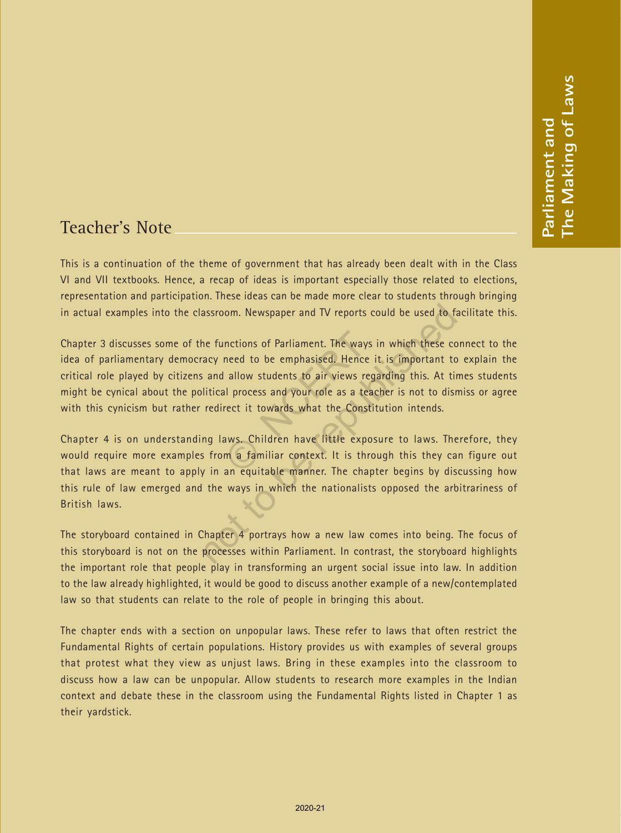## Teacher's Note

This is a continuation of the theme of government that has already been dealt with in the Class VI and VII textbooks. Hence, a recap of ideas is important especially those related to elections, representation and participation. These ideas can be made more clear to students through bringing in actual examples into the classroom. Newspaper and TV reports could be used to facilitate this.

Chapter 3 discusses some of the functions of Parliament. The ways in which these connect to the idea of parliamentary democracy need to be emphasised. Hence it is important to explain the critical role played by citizens and allow students to air views regarding this. At times students might be cynical about the political process and your role as a teacher is not to dismiss or agree with this cynicism but rather redirect it towards what the Constitution intends. nctions of Parliament. The ways ineed to be emphasised. Hence i<br>allow students to air views regal<br>all process and your role as a teac<br>rect it towards what the Constit<br>aws. Children have little expos<br>m a familiar context. I

Chapter 4 is on understanding laws. Children have little exposure to laws. Therefore, they would require more examples from a familiar context. It is through this they can figure out that laws are meant to apply in an equitable manner. The chapter begins by discussing how this rule of law emerged and the ways in which the nationalists opposed the arbitrariness of British laws. assroom. Newspaper and TV reports could be used to fail<br>the functions of Parliament. The ways in which these co<br>acy need to be emphasised. Hence it is important to<br>sand allow students to air views regarding this. At tir<br>li

The storyboard contained in Chapter 4 portrays how a new law comes into being. The focus of this storyboard is not on the processes within Parliament. In contrast, the storyboard highlights the important role that people play in transforming an urgent social issue into law. In addition to the law already highlighted, it would be good to discuss another example of a new/contemplated law so that students can relate to the role of people in bringing this about.

The chapter ends with a section on unpopular laws. These refer to laws that often restrict the Fundamental Rights of certain populations. History provides us with examples of several groups that protest what they view as unjust laws. Bring in these examples into the classroom to discuss how a law can be unpopular. Allow students to research more examples in the Indian context and debate these in the classroom using the Fundamental Rights listed in Chapter 1 as their yardstick.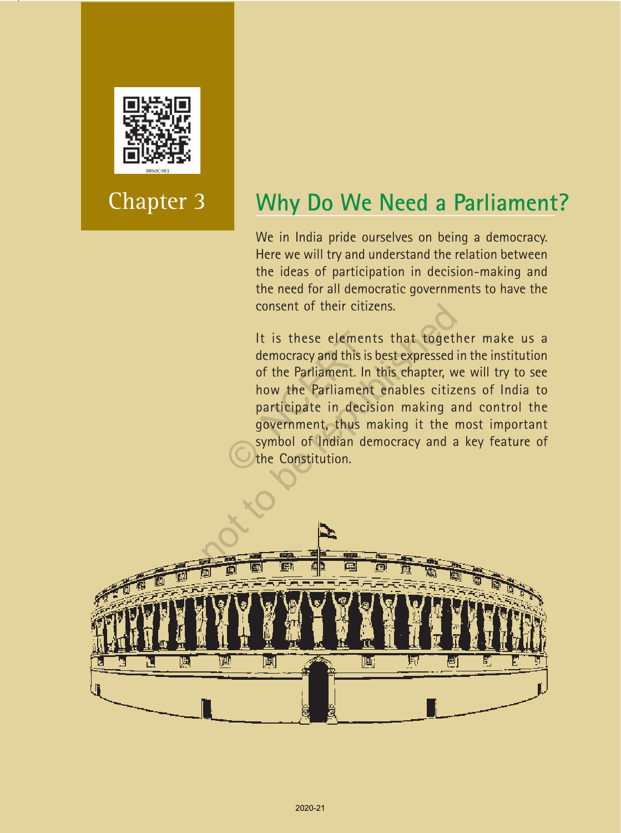

# Chapter 3

# **Why Do We Need a Parliament?**

We in India pride ourselves on being a democracy. Here we will try and understand the relation between the ideas of participation in decision-making and the need for all democratic governments to have the consent of their citizens.

It is these elements that together make us a democracy and this is best expressed in the institution of the Parliament. In this chapter, we will try to see how the Parliament enables citizens of India to participate in decision making and control the government, thus making it the most important symbol of Indian democracy and a key feature of the Constitution. It is these element<br>democracy and this is t<br>of the Parliament. In<br>how the Parliament<br>participate in decisi<br>government, thus m<br>symbol of Indian der<br>the Constitution. consent of their citizens.<br>
It is these elements that togetle<br>
democracy and this is best expressed<br>
of the Parliament. In this chapter, we<br>
how the Parliament enables citize<br>
participate in decision making a<br>
government,

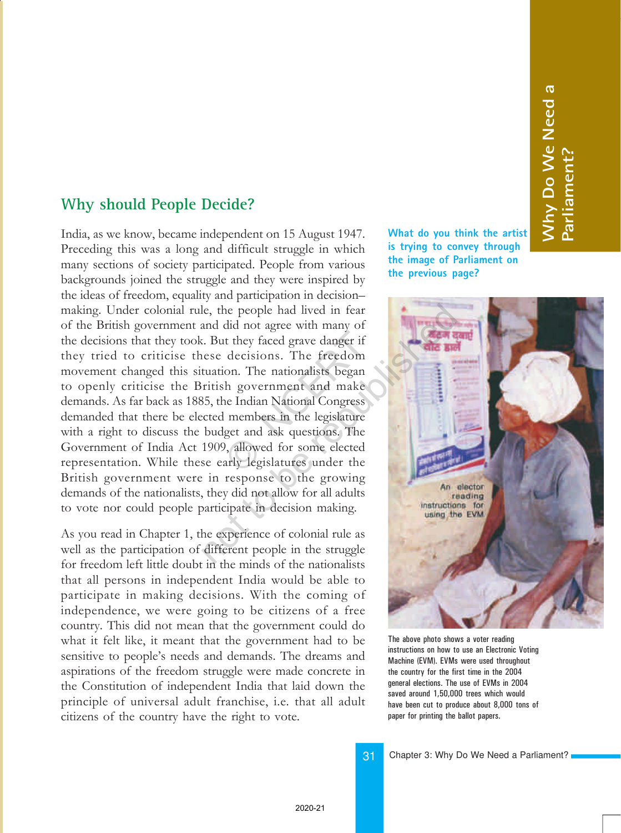### **Why should People Decide?**

India, as we know, became independent on 15 August 1947. Preceding this was a long and difficult struggle in which many sections of society participated. People from various backgrounds joined the struggle and they were inspired by the ideas of freedom, equality and participation in decisionmaking. Under colonial rule, the people had lived in fear of the British government and did not agree with many of the decisions that they took. But they faced grave danger if they tried to criticise these decisions. The freedom movement changed this situation. The nationalists began to openly criticise the British government and make demands. As far back as 1885, the Indian National Congress demanded that there be elected members in the legislature with a right to discuss the budget and ask questions. The Government of India Act 1909, allowed for some elected representation. While these early legislatures under the British government were in response to the growing demands of the nationalists, they did not allow for all adults to vote nor could people participate in decision making. it they faced grave danger if<br>decisions. The freedom<br>on. The nationalists began<br>h government and make<br>ne Indian National Congress<br>members in the legislature<br>get and ask questions. The<br>), allowed for some elected<br>arly legis le, the people had lived in fear<br>and did not agree with many of<br>c. But they faced grave danger if<br>rese decisions. The freedom<br>tuation. The nationalists began<br>ritish government and make<br>85, the Indian National Congress<br>cete

As you read in Chapter 1, the experience of colonial rule as well as the participation of different people in the struggle for freedom left little doubt in the minds of the nationalists that all persons in independent India would be able to participate in making decisions. With the coming of independence, we were going to be citizens of a free country. This did not mean that the government could do what it felt like, it meant that the government had to be sensitive to people's needs and demands. The dreams and aspirations of the freedom struggle were made concrete in the Constitution of independent India that laid down the principle of universal adult franchise, i.e. that all adult citizens of the country have the right to vote.

**What do you think the artist is trying to convey through the image of Parliament on the previous page?**

**Why Do We Need a**

**Nhy Do We Need a** 

<u>آ م</u>

**arliament?**



The above photo shows a voter reading instructions on how to use an Electronic Voting Machine (EVM). EVMs were used throughout the country for the first time in the 2004 general elections. The use of EVMs in 2004 saved around 1,50,000 trees which would have been cut to produce about 8,000 tons of paper for printing the ballot papers.

31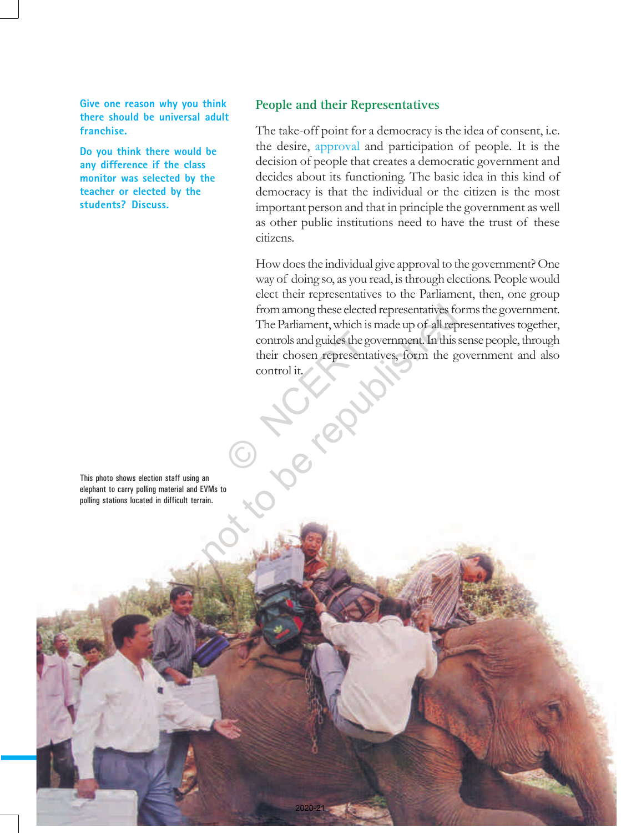**Give one reason why you think there should be universal adult franchise.**

**Do you think there would be any difference if the class monitor was selected by the teacher or elected by the students? Discuss.**

#### **People and their Representatives**

The take-off point for a democracy is the idea of consent, i.e. the desire, approval and participation of people. It is the decision of people that creates a democratic government and decides about its functioning. The basic idea in this kind of democracy is that the individual or the citizen is the most important person and that in principle the government as well as other public institutions need to have the trust of these citizens.

How does the individual give approval to the government? One way of doing so, as you read, is through elections. People would elect their representatives to the Parliament, then, one group from among these elected representatives forms the government. The Parliament, which is made up of all representatives together, controls and guides the government. In this sense people, through their chosen representatives, form the government and also control it. controls and guides the governot of their chosen representation of the solution of the control it. from among these elected representatives for<br>The Parliament, which is made up of all representatives and guides the government. In this<br>their chosen representatives, form the g<br>control it.<br>and an<br>an.

This photo shows election staff using an elephant to carry polling material and EVMs to polling stations located in difficult terrain.

Social and Political Life 32

2020-21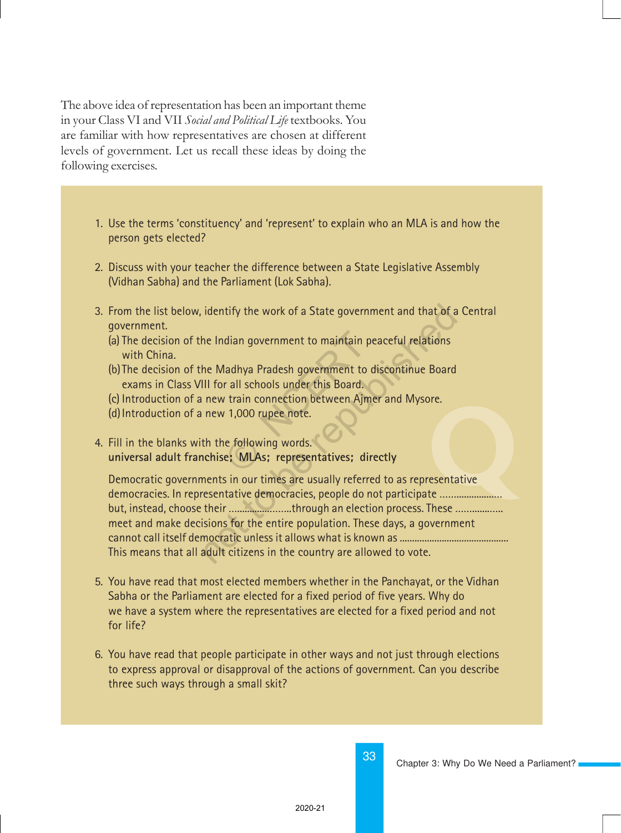The above idea of representation has been an important theme in your Class VI and VII Social and Political Life textbooks. You are familiar with how representatives are chosen at different levels of government. Let us recall these ideas by doing the following exercises.

- 1. Use the terms 'constituency' and 'represent' to explain who an MLA is and how the person gets elected?
- 2. Discuss with your teacher the difference between a State Legislative Assembly (Vidhan Sabha) and the Parliament (Lok Sabha).
- 3. From the list below, identify the work of a State government and that of a Central government.
	- (a) The decision of the Indian government to maintain peaceful relations with China.
	- (b) The decision of the Madhya Pradesh government to discontinue Board exams in Class VIII for all schools under this Board. dian government to maintain pe<br>
	ladhya Pradesh government to di<br>
	r all schools under this Board.<br>
	r train connection between Ajme<br>
	r 1,000 rupee note.<br>
	e following words.<br>
	e; MLAs; representatives; dire
	- (c) Introduction of a new train connection between Ajmer and Mysore.
	- (d)Introduction of a new 1,000 rupee note.
- 4. Fill in the blanks with the following words. **universal adult franchise; MLAs; representatives; directly**

(d) Introduction of a new 1,000 rupee note.<br>
Fill in the blanks with the following words.<br>
universal adult franchise; MLAs; representatives; directly<br>
Democratic governments in our times are usually referred to as represen Democratic governments in our times are usually referred to as representative but, instead, choose their ………………………through an election process. These ………………… meet and make decisions for the entire population. These days, a government cannot call itself democratic unless it allows what is known as ............................................ This means that all adult citizens in the country are allowed to vote. identify the work of a State government and that of a<br>he Indian government to maintain peaceful relations<br>he Madhya Pradesh government to discontinue Board<br>III for all schools under this Board.<br>new train connection between

- 5. You have read that most elected members whether in the Panchayat, or the Vidhan Sabha or the Parliament are elected for a fixed period of five years. Why do we have a system where the representatives are elected for a fixed period and not for life?
- 6. You have read that people participate in other ways and not just through elections to express approval or disapproval of the actions of government. Can you describe three such ways through a small skit?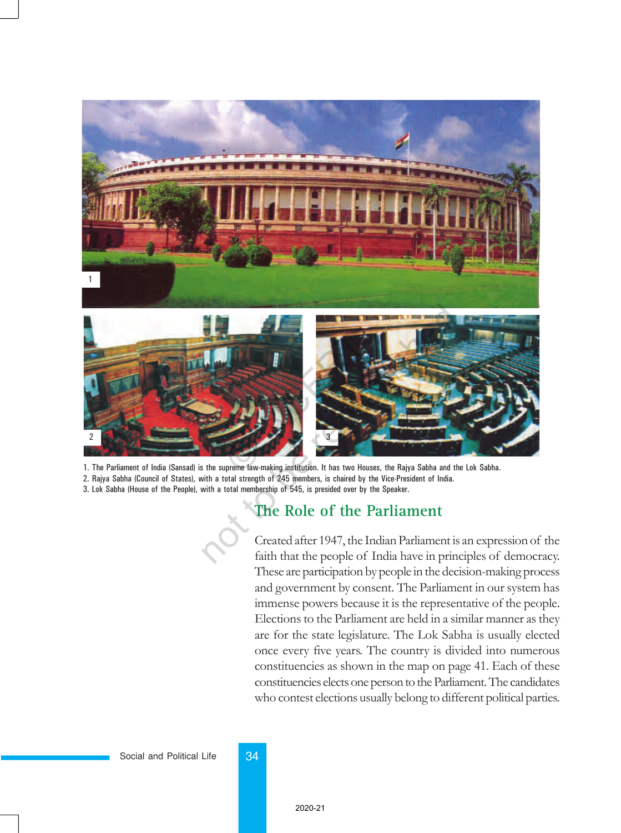

1. The Parliament of India (Sansad) is the supreme law-making institution. It has two Houses, the Rajya Sabha and the Lok Sabha. 2. Rajya Sabha (Council of States), with a total strength of 245 members, is chaired by the Vice-President of India.

3. Lok Sabha (House of the People), with a total membership of 545, is presided over by the Speaker.

### **The Role of the Parliament**

Created after 1947, the Indian Parliament is an expression of the faith that the people of India have in principles of democracy. These are participation by people in the decision-making process and government by consent. The Parliament in our system has immense powers because it is the representative of the people. Elections to the Parliament are held in a similar manner as they are for the state legislature. The Lok Sabha is usually elected once every five years. The country is divided into numerous constituencies as shown in the map on page 41. Each of these constituencies elects one person to the Parliament. The candidates who contest elections usually belong to different political parties.

#### Social and Political Life 34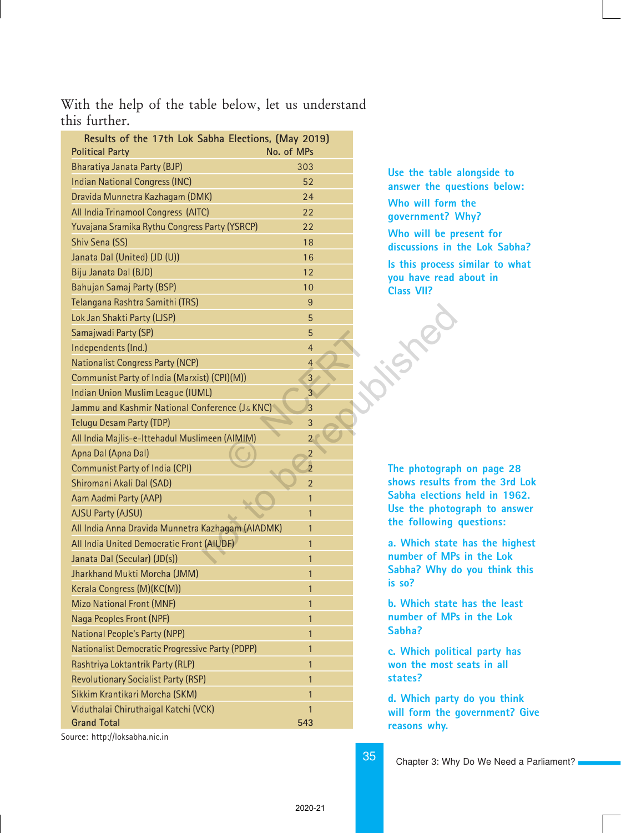#### With the help of the table below, let us understand this further.

| Results of the 17th Lok Sabha Elections, (May 2019)<br><b>Political Party</b> | No. of MPs     |
|-------------------------------------------------------------------------------|----------------|
| Bharatiya Janata Party (BJP)                                                  | 303            |
| <b>Indian National Congress (INC)</b>                                         | 52             |
| Dravida Munnetra Kazhagam (DMK)                                               | 24             |
| All India Trinamool Congress (AITC)                                           | 22             |
| Yuvajana Sramika Rythu Congress Party (YSRCP)                                 | 22             |
| Shiv Sena (SS)                                                                | 18             |
| Janata Dal (United) (JD (U))                                                  | 16             |
| Biju Janata Dal (BJD)                                                         | 12             |
| Bahujan Samaj Party (BSP)                                                     | 10             |
| Telangana Rashtra Samithi (TRS)                                               | 9              |
| Lok Jan Shakti Party (LJSP)                                                   | 5              |
| Samajwadi Party (SP)                                                          | 5              |
| Independents (Ind.)                                                           | $\overline{4}$ |
| <b>Nationalist Congress Party (NCP)</b>                                       | $\overline{4}$ |
| Communist Party of India (Marxist) (CPI)(M))                                  | 3              |
| Indian Union Muslim League (IUML)                                             | $\overline{3}$ |
| Jammu and Kashmir National Conference (J& KNC)                                | 3              |
| <b>Telugu Desam Party (TDP)</b>                                               | 3              |
| All India Majlis-e-Ittehadul Muslimeen (AIMIM)                                | $\overline{2}$ |
| Apna Dal (Apna Dal)                                                           | $\overline{2}$ |
| <b>Communist Party of India (CPI)</b>                                         | $\overline{2}$ |
| Shiromani Akali Dal (SAD)                                                     | $\overline{2}$ |
| Aam Aadmi Party (AAP)                                                         | $\mathbf{1}$   |
| <b>AJSU Party (AJSU)</b>                                                      | $\mathbf{1}$   |
| All India Anna Dravida Munnetra Kazhagam (AIADMK)                             | 1              |
| All India United Democratic Front (AIUDF)                                     | $\mathbf{1}$   |
| Janata Dal (Secular) (JD(s))                                                  | 1              |
| Jharkhand Mukti Morcha (JMM)                                                  | 1              |
| Kerala Congress (M)(KC(M))                                                    | $\mathbf{1}$   |
| <b>Mizo National Front (MNF)</b>                                              | $\mathbf{1}$   |
| Naga Peoples Front (NPF)                                                      | $\mathbf{1}$   |
| National People's Party (NPP)                                                 | $\mathbf{1}$   |
| Nationalist Democratic Progressive Party (PDPP)                               | $\mathbf{1}$   |
| Rashtriya Loktantrik Party (RLP)                                              | $\mathbf{1}$   |
| <b>Revolutionary Socialist Party (RSP)</b>                                    | $\mathbf{1}$   |
| Sikkim Krantikari Morcha (SKM)                                                | $\mathbf{1}$   |
| Viduthalai Chiruthaigal Katchi (VCK)                                          | $\mathbf{1}$   |
| <b>Grand Total</b>                                                            | 543            |
|                                                                               |                |

**Use the table alongside to answer the questions below: Who will form the government? Why? Who will be present for discussions in the Lok Sabha? Is this process similar to what you have read about in Class VII?**

**The photograph on page 28 shows results from the 3rd Lok Sabha elections held in 1962. Use the photograph to answer the following questions:**

**a. Which state has the highest number of MPs in the Lok Sabha? Why do you think this is so?**

**b. Which state has the least number of MPs in the Lok Sabha?**

**c. Which political party has won the most seats in all states?**

**d. Which party do you think will form the government? Give reasons why.**

Source: http://loksabha.nic.in

Chapter 3: Why Do We Need a Parliament?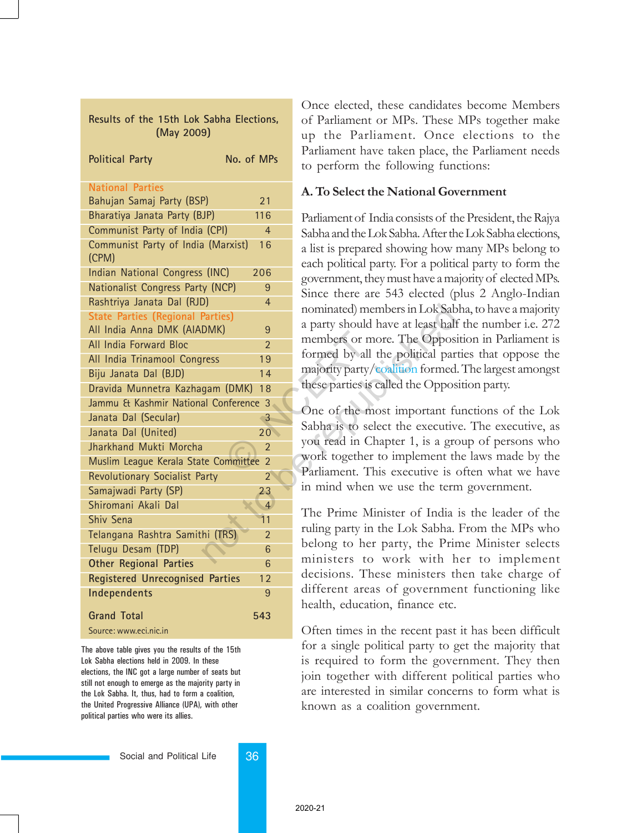| Results of the 15th Lok Sabha Elections,<br>(May 2009)                 |                 | of Parliament or MPs. These<br>up the Parliament. Once             |
|------------------------------------------------------------------------|-----------------|--------------------------------------------------------------------|
| <b>Political Party</b>                                                 | No. of MPs      | Parliament have taken place, tl<br>to perform the following fund   |
| <b>National Parties</b>                                                |                 | A. To Select the National Gov                                      |
| Bahujan Samaj Party (BSP)                                              | 21              |                                                                    |
| Bharatiya Janata Party (BJP)                                           | 116             | Parliament of India consists of th                                 |
| Communist Party of India (CPI)                                         | $\overline{4}$  | Sabha and the Lok Sabha. After th                                  |
| Communist Party of India (Marxist)<br>(CPM)                            | 16              | a list is prepared showing how 1                                   |
| Indian National Congress (INC)                                         | 206             | each political party. For a politic                                |
| Nationalist Congress Party (NCP)                                       | 9               | government, they must have a ma                                    |
| Rashtriya Janata Dal (RJD)                                             | $\overline{4}$  | Since there are 543 elected (p                                     |
| <b>State Parties (Regional Parties)</b><br>All India Anna DMK (AIADMK) | 9               | nominated) members in Lok Sab<br>a party should have at least half |
| All India Forward Bloc                                                 | $\mathfrak{D}$  | members or more. The Opposi                                        |
| All India Trinamool Congress                                           | 19              | formed by all the political par                                    |
| Biju Janata Dal (BJD)                                                  | 14              | majority party/coalition formed.                                   |
| Dravida Munnetra Kazhagam (DMK)                                        | 18              | these parties is called the Oppos                                  |
| Jammu & Kashmir National Conference 3                                  |                 |                                                                    |
| Janata Dal (Secular)                                                   | $\overline{3}$  | One of the most important fu                                       |
| Janata Dal (United)                                                    | 20 <sup>°</sup> | Sabha is to select the executiv                                    |
| Jharkhand Mukti Morcha                                                 | $\overline{2}$  | you read in Chapter 1, is a gro                                    |
| Muslim League Kerala State Committee 2                                 |                 | work together to implement the                                     |
| Revolutionary Socialist Party                                          | $\overline{2}$  | Parliament. This executive is o                                    |
| Samajwadi Party (SP)                                                   | 23              | in mind when we use the tern                                       |
| Shiromani Akali Dal                                                    | $\overline{4}$  |                                                                    |
| Shiv Sena                                                              | 11              | The Prime Minister of India                                        |
| Telangana Rashtra Samithi (TRS)                                        | $\overline{2}$  | ruling party in the Lok Sabha.                                     |
| Telugu Desam (TDP)                                                     | 6               | belong to her party, the Prin                                      |
| <b>Other Regional Parties</b>                                          | 6               | ministers to work with h                                           |
| <b>Registered Unrecognised Parties</b>                                 | 12              | decisions. These ministers tl                                      |
| Independents                                                           | 9               | different areas of governmer                                       |
| <b>Grand Total</b>                                                     | 543             | health, education, finance etc.                                    |
| Source: www.eci.nic.in                                                 |                 | Often times in the recent past                                     |

The above table gives you the results of the 15th Lok Sabha elections held in 2009. In these elections, the INC got a large number of seats but still not enough to emerge as the majority party in the Lok Sabha. It, thus, had to form a coalition, the United Progressive Alliance (UPA), with other political parties who were its allies.

Once elected, these candidates become Members of Parliament or MPs. These MPs together make up the Parliament. Once elections to the Parliament have taken place, the Parliament needs to perform the following functions:

#### A. To Select the National Government

Parliament of India consists of the President, the Rajya Sabha and the Lok Sabha. After the Lok Sabha elections, a list is prepared showing how many MPs belong to each political party. For a political party to form the government, they must have a majority of elected MPs. Since there are 543 elected (plus 2 Anglo-Indian nominated) members in Lok Sabha, to have a majority a party should have at least half the number i.e. 272 members or more. The Opposition in Parliament is formed by all the political parties that oppose the majority party/coalition formed. The largest amongst these parties is called the Opposition party.

One of the most important functions of the Lok Sabha is to select the executive. The executive, as you read in Chapter 1, is a group of persons who work together to implement the laws made by the Parliament. This executive is often what we have in mind when we use the term government.

The Prime Minister of India is the leader of the ruling party in the Lok Sabha. From the MPs who belong to her party, the Prime Minister selects ministers to work with her to implement decisions. These ministers then take charge of different areas of government functioning like health, education, finance etc.

Often times in the recent past it has been difficult for a single political party to get the majority that is required to form the government. They then join together with different political parties who are interested in similar concerns to form what is known as a coalition government.

Social and Political Life 36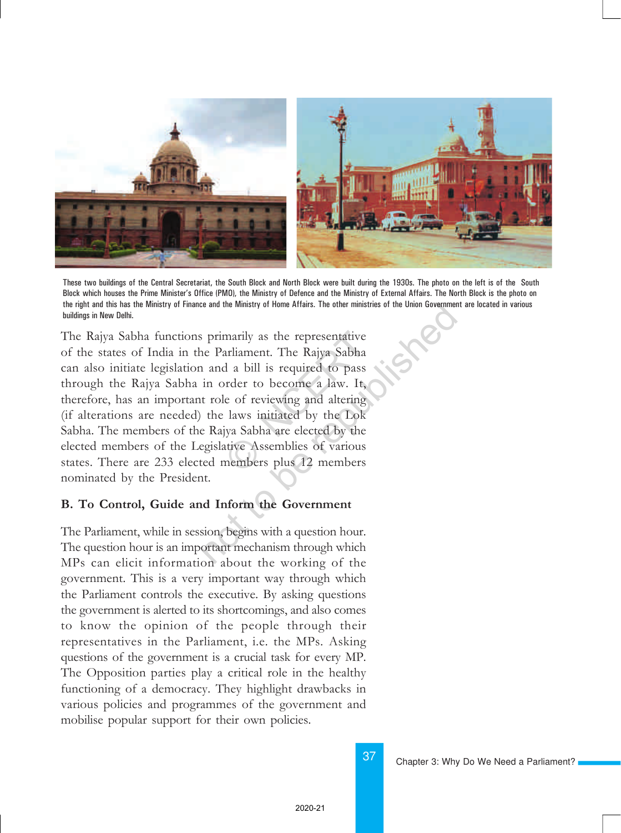

These two buildings of the Central Secretariat, the South Block and North Block were built during the 1930s. The photo on the left is of the South Block which houses the Prime Ministerís Office (PMO), the Ministry of Defence and the Ministry of External Affairs. The North Block is the photo on the right and this has the Ministry of Finance and the Ministry of Home Affairs. The other ministries of the Union Government are located in various buildings in New Delhi.

The Rajya Sabha functions primarily as the representative of the states of India in the Parliament. The Rajya Sabha can also initiate legislation and a bill is required to pass through the Rajya Sabha in order to become a law. It, therefore, has an important role of reviewing and altering (if alterations are needed) the laws initiated by the Lok Sabha. The members of the Rajya Sabha are elected by the elected members of the Legislative Assemblies of various states. There are 233 elected members plus 12 members nominated by the President. marily as the representative<br>arliament. The Rajya Sabha<br>d a bill is required to pass<br>order to become a law. It,<br>e of reviewing and altering<br>laws initiated by the Lok<br>iya Sabha are elected by the<br>ative Assemblies of various The Ministry of Home Affairs. The other ministries of the Union Government:<br>
The Parliament. The Rajya Sabha<br>
1 and a bill is required to pass<br>
in order to become a law. It,<br>
t role of reviewing and altering<br>
the laws init

#### B. To Control, Guide and Inform the Government

The Parliament, while in session, begins with a question hour. The question hour is an important mechanism through which MPs can elicit information about the working of the government. This is a very important way through which the Parliament controls the executive. By asking questions the government is alerted to its shortcomings, and also comes to know the opinion of the people through their representatives in the Parliament, i.e. the MPs. Asking questions of the government is a crucial task for every MP. The Opposition parties play a critical role in the healthy functioning of a democracy. They highlight drawbacks in various policies and programmes of the government and mobilise popular support for their own policies.

Chapter 3: Why Do We Need a Parliament?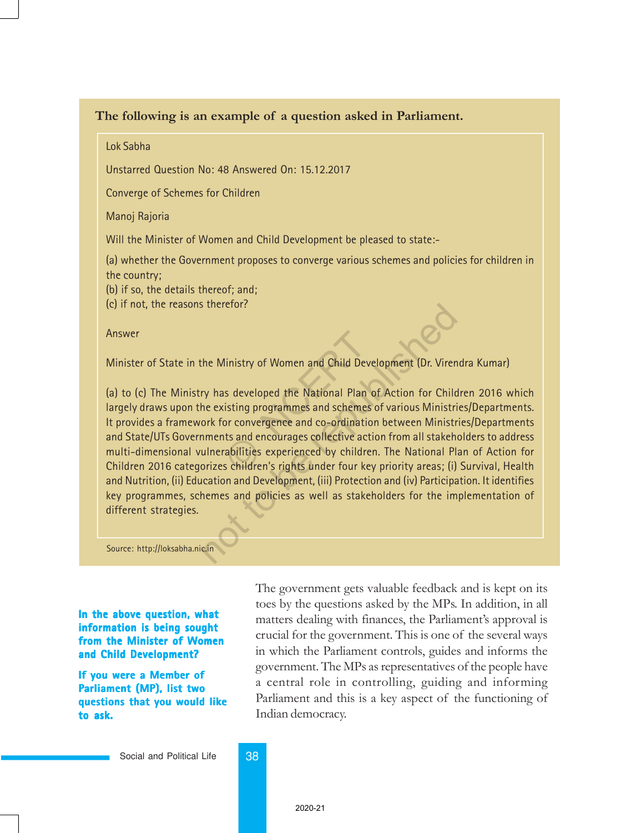#### The following is an example of a question asked in Parliament.

Lok Sabha

Unstarred Question No: 48 Answered On: 15.12.2017

Converge of Schemes for Children

Manoj Rajoria

Will the Minister of Women and Child Development be pleased to state:-

(a) whether the Government proposes to converge various schemes and policies for children in the country;

(b) if so, the details thereof; and;

(c) if not, the reasons therefor?

Answer

Minister of State in the Ministry of Women and Child Development (Dr. Virendra Kumar)

(a) to (c) The Ministry has developed the National Plan of Action for Children 2016 which largely draws upon the existing programmes and schemes of various Ministries/Departments. It provides a framework for convergence and co-ordination between Ministries/Departments and State/UTs Governments and encourages collective action from all stakeholders to address multi-dimensional vulnerabilities experienced by children. The National Plan of Action for Children 2016 categorizes children's rights under four key priority areas; (i) Survival, Health and Nutrition, (ii) Education and Development, (iii) Protection and (iv) Participation. It identifies key programmes, schemes and policies as well as stakeholders for the implementation of different strategies. linistry of Women and Child Devel<br>Is developed the National Plan of<br>isting programmes and schemes cor<br>convergence and co-ordination<br>Its and encourages collective action<br>abilities experienced by children<br>s children's rights The Ministry of Women and Child Development (Dr. Virent Viendom Child Development (Dr. Virent Viendom Child Development (Dr. Virent Viendom Child New Existing programmes and schemes of various Ministrian Correct Child Conv

Source: http://loksabha.nic.in

**In the above question, what information is being sought from the Minister of Women and Child Development?**

**If you were a Member of Parliament (MP), list two questions that you would like to ask.**

The government gets valuable feedback and is kept on its toes by the questions asked by the MPs. In addition, in all matters dealing with finances, the Parliament's approval is crucial for the government. This is one of the several ways in which the Parliament controls, guides and informs the government. The MPs as representatives of the people have a central role in controlling, guiding and informing Parliament and this is a key aspect of the functioning of Indian democracy.

Social and Political Life 38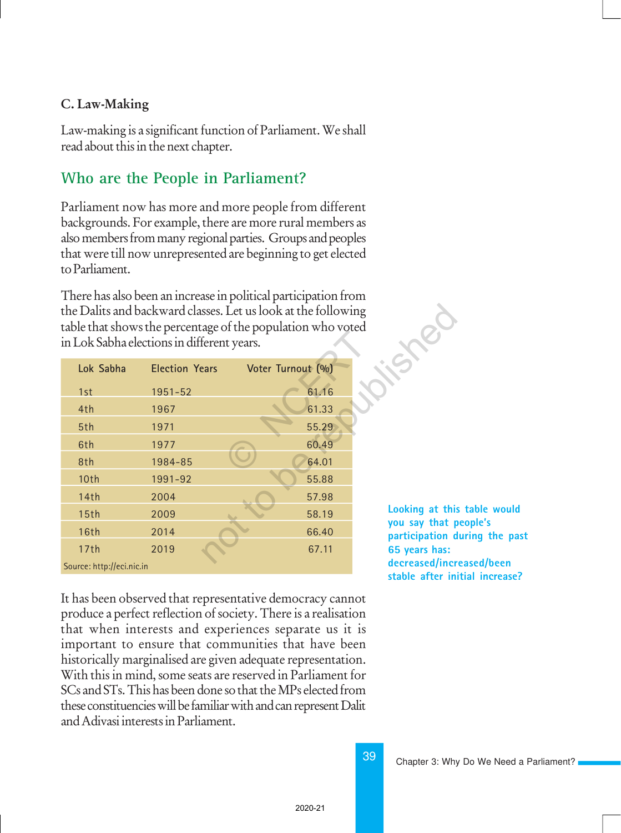#### C. Law-Making

Law-making is a significant function of Parliament. We shall read about this in the next chapter.

### **Who are the People in Parliament?**

Parliament now has more and more people from different backgrounds. For example, there are more rural members as also members from many regional parties. Groups and peoples that were till now unrepresented are beginning to get elected to Parliament.

There has also been an increase in political participation from the Dalits and backward classes. Let us look at the following table that shows the percentage of the population who voted in Lok Sabha elections in different years.

| in Lok Sabha elections in different years. |                       | the Dalits and backward classes. Let us look at the following<br>table that shows the percentage of the population who voted |                                   |
|--------------------------------------------|-----------------------|------------------------------------------------------------------------------------------------------------------------------|-----------------------------------|
| Lok Sabha                                  | <b>Election Years</b> | Voter Turnout (%)                                                                                                            |                                   |
| 1st                                        | 1951-52               | 61.16                                                                                                                        |                                   |
| 4th                                        | 1967                  | 61.33                                                                                                                        |                                   |
| 5th                                        | 1971                  | 55.29                                                                                                                        |                                   |
| 6th                                        | 1977                  | 60.49                                                                                                                        |                                   |
| 8th                                        | 1984-85               | 64.01                                                                                                                        |                                   |
| 10th                                       | 1991-92               | 55.88                                                                                                                        |                                   |
| 14th                                       | 2004                  | 57.98                                                                                                                        |                                   |
| 15th                                       | 2009                  | 58.19                                                                                                                        | Looking at this                   |
| <b>16th</b>                                | 2014                  | 66.40                                                                                                                        | you say that p<br>participation d |
| 17th                                       | 2019                  | 67.11                                                                                                                        | 65 years has:                     |
| Source: http://eci.nic.in                  |                       |                                                                                                                              | decreased/incr                    |

It has been observed that representative democracy cannot produce a perfect reflection of society. There is a realisation that when interests and experiences separate us it is important to ensure that communities that have been historically marginalised are given adequate representation. With this in mind, some seats are reserved in Parliament for SCs and STs. This has been done so that the MPs elected from these constituencies will be familiar with and can represent Dalit and Adivasi interests in Parliament.

**Looking at this table would you say that people's participation during the past 65 years has: decreased/increased/been stable after initial increase?**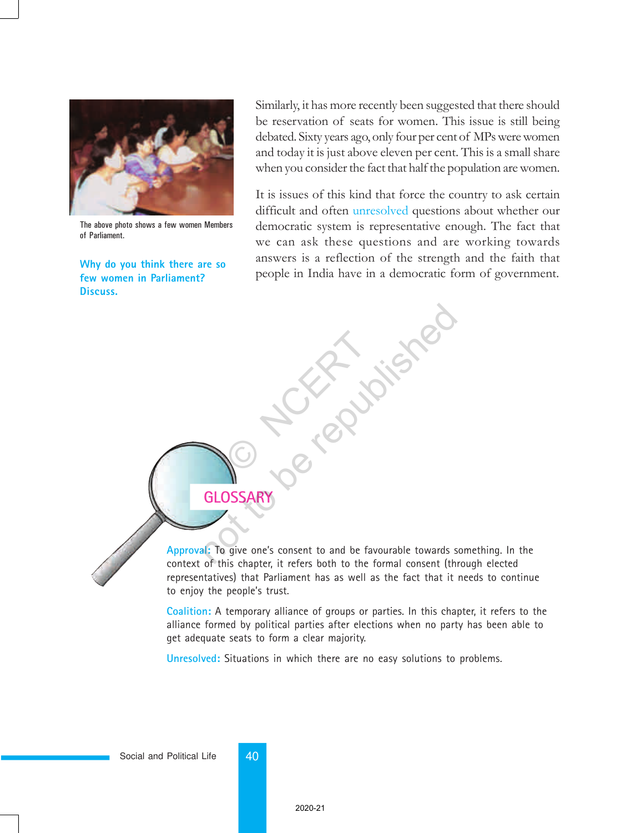

The above photo shows a few women Members of Parliament.

**Why do you think there are so few women in Parliament? Discuss.**

Similarly, it has more recently been suggested that there should be reservation of seats for women. This issue is still being debated. Sixty years ago, only four per cent of MPs were women and today it is just above eleven per cent. This is a small share when you consider the fact that half the population are women.

It is issues of this kind that force the country to ask certain difficult and often unresolved questions about whether our democratic system is representative enough. The fact that we can ask these questions and are working towards answers is a reflection of the strength and the faith that people in India have in a democratic form of government.

**GLOSSARY**

O NCERT



**Approval:** To give one's consent to and be favourable towards something. In the context of this chapter, it refers both to the formal consent (through elected representatives) that Parliament has as well as the fact that it needs to continue to enjoy the people's trust. GLOSSARY<br>GLOSSARY<br>Republished one's consent to and be favourable towards s

**Coalition:** A temporary alliance of groups or parties. In this chapter, it refers to the alliance formed by political parties after elections when no party has been able to get adequate seats to form a clear majority.

**Unresolved:** Situations in which there are no easy solutions to problems.